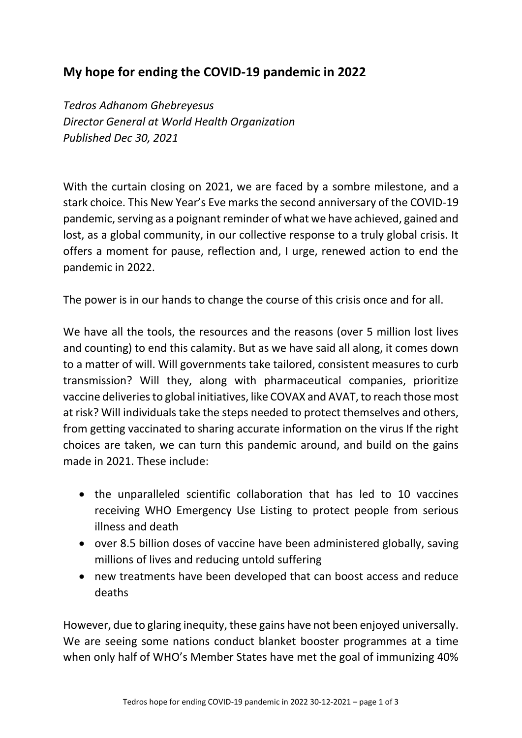## **My hope for ending the COVID-19 pandemic in 2022**

*Tedros Adhanom Ghebreyesus Director General at World Health Organization Published Dec 30, 2021*

With the curtain closing on 2021, we are faced by a sombre milestone, and a stark choice. This New Year's Eve marks the second anniversary of the COVID-19 pandemic, serving as a poignant reminder of what we have achieved, gained and lost, as a global community, in our collective response to a truly global crisis. It offers a moment for pause, reflection and, I urge, renewed action to end the pandemic in 2022.

The power is in our hands to change the course of this crisis once and for all.

We have all the tools, the resources and the reasons (over 5 million lost lives and counting) to end this calamity. But as we have said all along, it comes down to a matter of will. Will governments take tailored, consistent measures to curb transmission? Will they, along with pharmaceutical companies, prioritize vaccine deliveries to global initiatives, like COVAX and AVAT, to reach those most at risk? Will individuals take the steps needed to protect themselves and others, from getting vaccinated to sharing accurate information on the virus If the right choices are taken, we can turn this pandemic around, and build on the gains made in 2021. These include:

- the unparalleled scientific collaboration that has led to 10 vaccines receiving WHO Emergency Use Listing to protect people from serious illness and death
- over 8.5 billion doses of vaccine have been administered globally, saving millions of lives and reducing untold suffering
- new treatments have been developed that can boost access and reduce deaths

However, due to glaring inequity, these gains have not been enjoyed universally. We are seeing some nations conduct blanket booster programmes at a time when only half of WHO's Member States have met the goal of immunizing 40%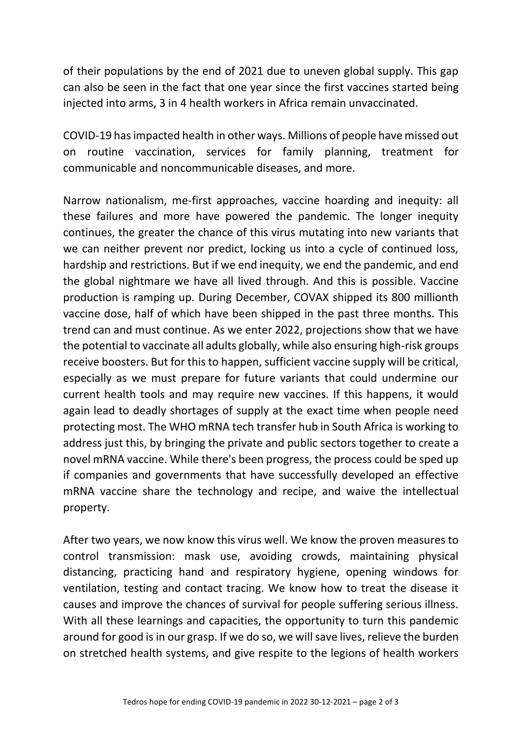of their populations by the end of 2021 due to uneven global supply. This gap can also be seen in the fact that one year since the first vaccines started being injected into arms, 3 in 4 health workers in Africa remain unvaccinated.

COVID-19 has impacted health in other ways. Millions of people have missed out on routine vaccination, services for family planning, treatment for communicable and noncommunicable diseases, and more.

Narrow nationalism, me-first approaches, vaccine hoarding and inequity: all these failures and more have powered the pandemic. The longer inequity continues, the greater the chance of this virus mutating into new variants that we can neither prevent nor predict, locking us into a cycle of continued loss, hardship and restrictions. But if we end inequity, we end the pandemic, and end the global nightmare we have all lived through. And this is possible. Vaccine production is ramping up. During December, COVAX shipped its 800 millionth vaccine dose, half of which have been shipped in the past three months. This trend can and must continue. As we enter 2022, projections show that we have the potential to vaccinate all adults globally, while also ensuring high-risk groups receive boosters. But for this to happen, sufficient vaccine supply will be critical, especially as we must prepare for future variants that could undermine our current health tools and may require new vaccines. If this happens, it would again lead to deadly shortages of supply at the exact time when people need protecting most. The WHO mRNA tech transfer hub in South Africa is working to address just this, by bringing the private and public sectors together to create a novel mRNA vaccine. While there's been progress, the process could be sped up if companies and governments that have successfully developed an effective mRNA vaccine share the technology and recipe, and waive the intellectual property.

After two years, we now know this virus well. We know the proven measures to control transmission: mask use, avoiding crowds, maintaining physical distancing, practicing hand and respiratory hygiene, opening windows for ventilation, testing and contact tracing. We know how to treat the disease it causes and improve the chances of survival for people suffering serious illness. With all these learnings and capacities, the opportunity to turn this pandemic around for good is in our grasp. If we do so, we will save lives, relieve the burden on stretched health systems, and give respite to the legions of health workers